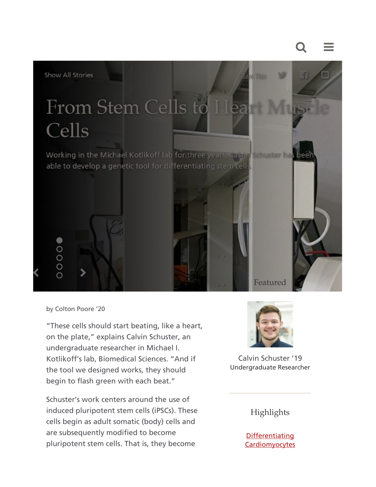



by Colton Poore '20

"These cells should start beating, like a heart, on the plate," explains Calvin Schuster, an undergraduate researcher in Michael I. Kotlikoff's lab, Biomedical Sciences. "And if the tool we designed works, they should begin to flash green with each beat."

Schuster's work centers around the use of induced pluripotent stem cells (iPSCs). These cells begin as adult somatic (body) cells and are subsequently modified to become pluripotent stem cells. That is, they become



Calvin Schuster '19 Undergraduate Researcher

## Highlights

**Differentiating Cardiomyocytes**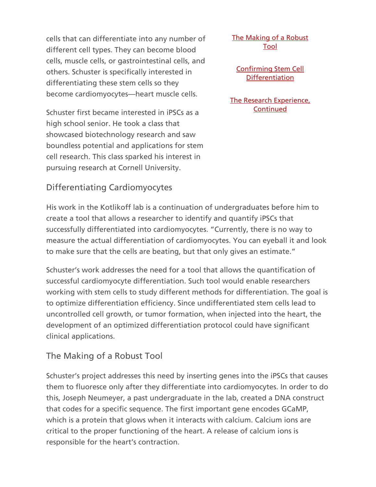cells that can differentiate into any number of different cell types. They can become blood cells, muscle cells, or gastrointestinal cells, and others. Schuster is specifically interested in differentiating these stem cells so they become cardiomyocytes—heart muscle cells.

Schuster first became interested in iPSCs as a high school senior. He took a class that showcased biotechnology research and saw boundless potential and applications for stem cell research. This class sparked his interest in pursuing research at Cornell University.

Differentiating Cardiomyocytes

His work in the Kotlikoff lab is a continuation of undergraduates before him to create a tool that allows a researcher to identify and quantify iPSCs that successfully differentiated into cardiomyocytes. "Currently, there is no way to measure the actual differentiation of cardiomyocytes. You can eyeball it and look to make sure that the cells are beating, but that only gives an estimate."

Schuster's work addresses the need for a tool that allows the quantification of successful cardiomyocyte differentiation. Such tool would enable researchers working with stem cells to study different methods for differentiation. The goal is to optimize differentiation efficiency. Since undifferentiated stem cells lead to uncontrolled cell growth, or tumor formation, when injected into the heart, the development of an optimized differentiation protocol could have significant clinical applications.

The Making of a Robust Tool

Schuster's project addresses this need by inserting genes into the iPSCs that causes them to fluoresce only after they differentiate into cardiomyocytes. In order to do this, Joseph Neumeyer, a past undergraduate in the lab, created a DNA construct that codes for a specific sequence. The first important gene encodes GCaMP, which is a protein that glows when it interacts with calcium. Calcium ions are critical to the proper functioning of the heart. A release of calcium ions is responsible for the heart's contraction.

The Making of a Robust Tool

Confirming Stem Cell **Differentiation** 

The Research Experience, **Continued**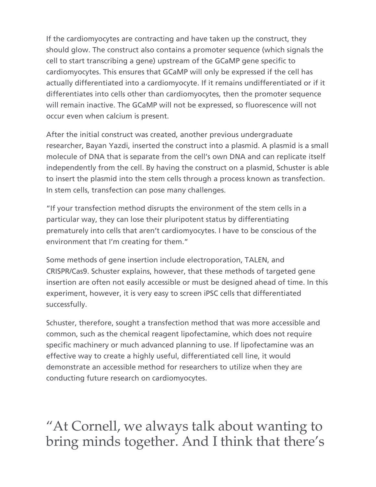If the cardiomyocytes are contracting and have taken up the construct, they should glow. The construct also contains a promoter sequence (which signals the cell to start transcribing a gene) upstream of the GCaMP gene specific to cardiomyocytes. This ensures that GCaMP will only be expressed if the cell has actually differentiated into a cardiomyocyte. If it remains undifferentiated or if it differentiates into cells other than cardiomyocytes, then the promoter sequence will remain inactive. The GCaMP will not be expressed, so fluorescence will not occur even when calcium is present.

After the initial construct was created, another previous undergraduate researcher, Bayan Yazdi, inserted the construct into a plasmid. A plasmid is a small molecule of DNA that is separate from the cell's own DNA and can replicate itself independently from the cell. By having the construct on a plasmid, Schuster is able to insert the plasmid into the stem cells through a process known as transfection. In stem cells, transfection can pose many challenges.

"If your transfection method disrupts the environment of the stem cells in a particular way, they can lose their pluripotent status by differentiating prematurely into cells that aren't cardiomyocytes. I have to be conscious of the environment that I'm creating for them."

Some methods of gene insertion include electroporation, TALEN, and CRISPR/Cas9. Schuster explains, however, that these methods of targeted gene insertion are often not easily accessible or must be designed ahead of time. In this experiment, however, it is very easy to screen iPSC cells that differentiated successfully.

Schuster, therefore, sought a transfection method that was more accessible and common, such as the chemical reagent lipofectamine, which does not require specific machinery or much advanced planning to use. If lipofectamine was an effective way to create a highly useful, differentiated cell line, it would demonstrate an accessible method for researchers to utilize when they are conducting future research on cardiomyocytes.

"At Cornell, we always talk about wanting to bring minds together. And I think that there's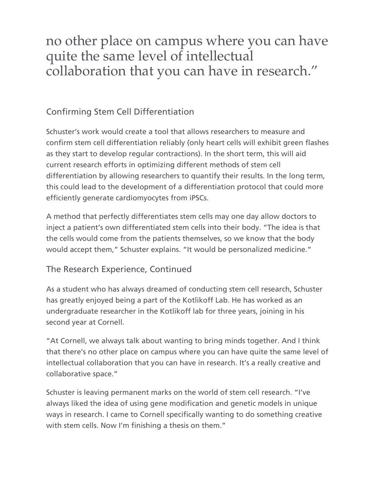## no other place on campus where you can have quite the same level of intellectual collaboration that you can have in research."

## Confirming Stem Cell Differentiation

Schuster's work would create a tool that allows researchers to measure and confirm stem cell differentiation reliably (only heart cells will exhibit green flashes as they start to develop regular contractions). In the short term, this will aid current research efforts in optimizing different methods of stem cell differentiation by allowing researchers to quantify their results. In the long term, this could lead to the development of a differentiation protocol that could more efficiently generate cardiomyocytes from iPSCs.

A method that perfectly differentiates stem cells may one day allow doctors to inject a patient's own differentiated stem cells into their body. "The idea is that the cells would come from the patients themselves, so we know that the body would accept them," Schuster explains. "It would be personalized medicine."

## The Research Experience, Continued

As a student who has always dreamed of conducting stem cell research, Schuster has greatly enjoyed being a part of the Kotlikoff Lab. He has worked as an undergraduate researcher in the Kotlikoff lab for three years, joining in his second year at Cornell.

"At Cornell, we always talk about wanting to bring minds together. And I think that there's no other place on campus where you can have quite the same level of intellectual collaboration that you can have in research. It's a really creative and collaborative space."

Schuster is leaving permanent marks on the world of stem cell research. "I've always liked the idea of using gene modification and genetic models in unique ways in research. I came to Cornell specifically wanting to do something creative with stem cells. Now I'm finishing a thesis on them."